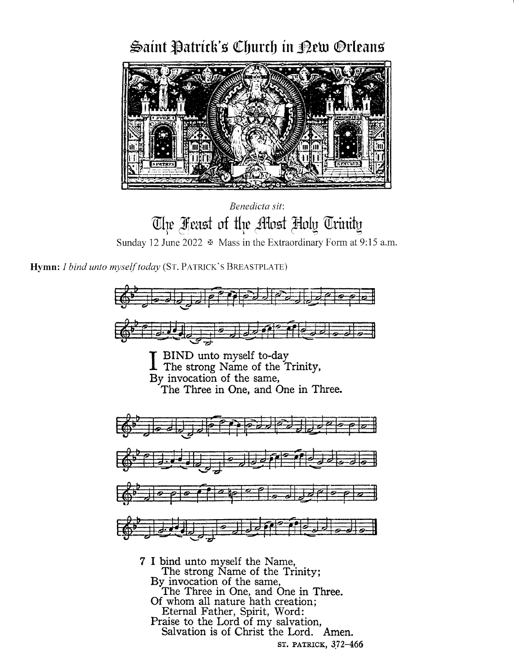# Saint Patrick's Church in Dew Orleans



Benedicta sit. The Feast of the Allost Holy Trinity Sunday 12 June 2022  $\,\,\,\oplus\,$  Mass in the Extraordinary Form at 9:15 a.m.

Hymn: I bind unto myself today (ST. PATRICK'S BREASTPLATE)



st. patrick, 372-466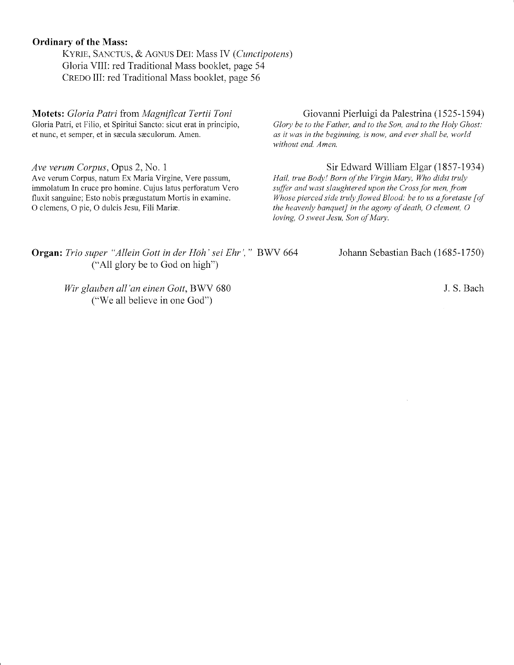## Ordinary of the Mass:

KYRIE, SANCTUS, & AGNUS DEI: Mass IV (Cunctipotens) Gloria VIII: red Traditional Mass booklet, page 54 CREDO III: red Traditional Mass booklet, page 56

Motets: Gloria Patri from Magnificat Tertii Toni<br>Glory be to the Father, and to the Son, and to the Holy Ghost:<br>Glory be to the Father, and to the Son, and to the Holy Ghost:

*Ave verum Corpus*, Opus 2, No. 1<br>Ave verum Corpus, natum Ex Maria Virgine, Vere passum, *Hail, true Body! Born of the Virgin Mary, Who didst truly* fluxit sanguine; Esto nobis prægustatum Mortis in examine.<br>O clemens, O pie, O dulcis Jesu, Fili Mariæ.

Gloria Patri, et Filio, et Spiritui Sancto: sicut erat in principio, Glory be to the Father, and to the Son, and to the Holy Ghost:<br>
et nunc, et semper, et in sæcula sæculorum. Amen.<br>
as it was in the beginning, is now, an as it was in the beginning, is now, and ever shall be, world without end. Amen.

Hail, true Body! Born of the Virgin Mary, Who didst truly immolatum In cruce pro homine. Cujus latus perforatum Vero suffer and wast slaughtered upon the Cross for men, from<br>fluxit sanguine: Esto nobis prægustatum Mortis in examine. Whose pierced side truly flowed Blood: be to us the heavenly banquet] in the agony of death, O clement, O loving, O sweet Jesu, Son of Mary.

Organ: Trio super "Allein Gott in der Höh' sei Ehr', " BWV 664 Johann Sebastian Bach (1685-1750) ("All glory be to God on high")

Wir glauben all'an einen Gott, BWV 680 J.S. Bach ("We all believe in one God")

 $\sim$